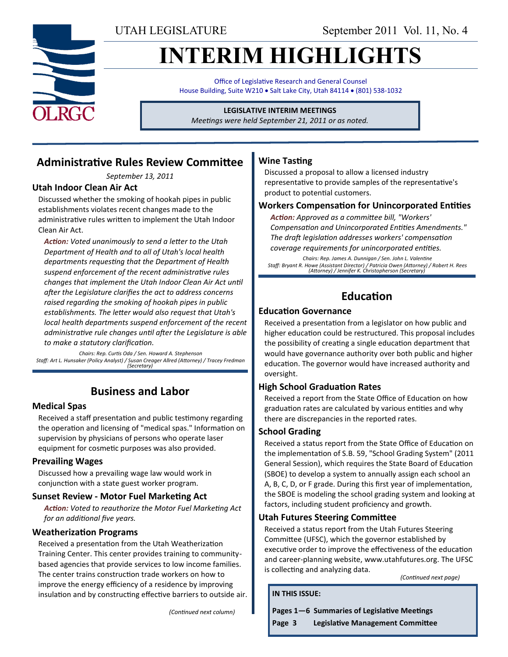UTAH LEGISLATURE September 2011 Vol. 11, No. 4

# **INTERIM HIGHLIGHTS**

Office of Legislative Research and General Counsel House Building, Suite W210 . Salt Lake City, Utah 84114 . (801) 538-1032

**LEGISLATIVE INTERIM MEETINGS**

*Meetings were held September 21, 2011 or as noted.*

### **Administrative Rules Review Committee**

*September 13, 2011*

#### **Utah Indoor Clean Air Act**

Discussed whether the smoking of hookah pipes in public establishments violates recent changes made to the administrative rules written to implement the Utah Indoor Clean Air Act.

*Action: Voted unanimously to send a letter to the Utah Department of Health and to all of Utah's local health departments requesting that the Department of Health suspend enforcement of the recent administrative rules changes that implement the Utah Indoor Clean Air Act until after the Legislature clarifies the act to address concerns raised regarding the smoking of hookah pipes in public establishments. The letter would also request that Utah's local health departments suspend enforcement of the recent administrative rule changes until after the Legislature is able to make a statutory clarification.*

*Chairs: Rep. Curtis Oda / Sen. Howard A. Stephenson Staff: Art L. Hunsaker (Policy Analyst) / Susan Creager Allred (Attorney) / Tracey Fredman (Secretary)*

### **Business and Labor**

#### **Medical Spas**

Received a staff presentation and public testimony regarding the operation and licensing of "medical spas." Information on supervision by physicians of persons who operate laser equipment for cosmetic purposes was also provided.

#### **Prevailing Wages**

Discussed how a prevailing wage law would work in conjunction with a state guest worker program.

#### **Sunset Review - Motor Fuel Marketing Act**

*Action: Voted to reauthorize the Motor Fuel Marketing Act for an additional five years.*

#### **Weatherization Programs**

Received a presentation from the Utah Weatherization Training Center. This center provides training to communitybased agencies that provide services to low income families. The center trains construction trade workers on how to improve the energy efficiency of a residence by improving insulation and by constructing effective barriers to outside air.

*(Continued next column)*

#### **Wine Tasting**

Discussed a proposal to allow a licensed industry representative to provide samples of the representative's product to potential customers.

#### **Workers Compensation for Unincorporated Entities**

*Action: Approved as a committee bill, "Workers' Compensation and Unincorporated Entities Amendments." The draft legislation addresses workers' compensation coverage requirements for unincorporated entities.* 

*Chairs: Rep. James A. Dunnigan / Sen. John L. Valentine Staff: Bryant R. Howe (Assistant Director) / Patricia Owen (Attorney) / Robert H. Rees (Attorney) / Jennifer K. Christopherson (Secretary)*

### **Education**

#### **Education Governance**

Received a presentation from a legislator on how public and higher education could be restructured. This proposal includes the possibility of creating a single education department that would have governance authority over both public and higher education. The governor would have increased authority and oversight.

#### **High School Graduation Rates**

Received a report from the State Office of Education on how graduation rates are calculated by various entities and why there are discrepancies in the reported rates.

#### **School Grading**

Received a status report from the State Office of Education on the implementation of S.B. 59, "School Grading System" (2011 General Session), which requires the State Board of Education (SBOE) to develop a system to annually assign each school an A, B, C, D, or F grade. During this first year of implementation, the SBOE is modeling the school grading system and looking at factors, including student proficiency and growth.

#### **Utah Futures Steering Committee**

Received a status report from the Utah Futures Steering Committee (UFSC), which the governor established by executive order to improve the effectiveness of the education and career-planning website, www.utahfutures.org. The UFSC is collecting and analyzing data.

*(Continued next page)*

**IN THIS ISSUE:**

**Pages 1—6 Summaries of Legislative Meetings**

**Page 3 Legislative Management Committee**

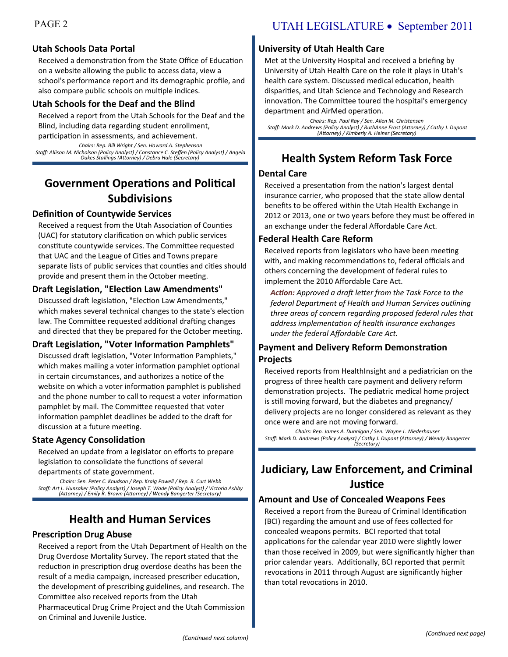#### **Utah Schools Data Portal**

Received a demonstration from the State Office of Education on a website allowing the public to access data, view a school's performance report and its demographic profile, and also compare public schools on multiple indices.

#### **Utah Schools for the Deaf and the Blind**

Received a report from the Utah Schools for the Deaf and the Blind, including data regarding student enrollment,

participation in assessments, and achievement. *Chairs: Rep. Bill Wright / Sen. Howard A. Stephenson Staff: Allison M. Nicholson (Policy Analyst) / Constance C. Steffen (Policy Analyst) / Angela Oakes Stallings (Attorney) / Debra Hale (Secretary)*

### **Government Operations and Political Subdivisions**

#### **Definition of Countywide Services**

Received a request from the Utah Association of Counties (UAC) for statutory clarification on which public services constitute countywide services. The Committee requested that UAC and the League of Cities and Towns prepare separate lists of public services that counties and cities should provide and present them in the October meeting.

#### **Draft Legislation, "Election Law Amendments"**

Discussed draft legislation, "Election Law Amendments," which makes several technical changes to the state's election law. The Committee requested additional drafting changes and directed that they be prepared for the October meeting.

#### **Draft Legislation, "Voter Information Pamphlets"**

Discussed draft legislation, "Voter Information Pamphlets," which makes mailing a voter information pamphlet optional in certain circumstances, and authorizes a notice of the website on which a voter information pamphlet is published and the phone number to call to request a voter information pamphlet by mail. The Committee requested that voter information pamphlet deadlines be added to the draft for discussion at a future meeting.

#### **State Agency Consolidation**

Received an update from a legislator on efforts to prepare legislation to consolidate the functions of several departments of state government.

*Chairs: Sen. Peter C. Knudson / Rep. Kraig Powell / Rep. R. Curt Webb Staff: Art L. Hunsaker (Policy Analyst) / Joseph T. Wade (Policy Analyst) / Victoria Ashby (Attorney) / Emily R. Brown (Attorney) / Wendy Bangerter (Secretary)*

### **Health and Human Services**

#### **Prescription Drug Abuse**

Received a report from the Utah Department of Health on the Drug Overdose Mortality Survey. The report stated that the reduction in prescription drug overdose deaths has been the result of a media campaign, increased prescriber education, the development of prescribing guidelines, and research. The Committee also received reports from the Utah Pharmaceutical Drug Crime Project and the Utah Commission on Criminal and Juvenile Justice.

#### **University of Utah Health Care**

Met at the University Hospital and received a briefing by University of Utah Health Care on the role it plays in Utah's health care system. Discussed medical education, health disparities, and Utah Science and Technology and Research innovation. The Committee toured the hospital's emergency department and AirMed operation.

*Chairs: Rep. Paul Ray / Sen. Allen M. Christensen Staff: Mark D. Andrews (Policy Analyst) / RuthAnne Frost (Attorney) / Cathy J. Dupont (Attorney) / Kimberly A. Heiner (Secretary)*

### **Health System Reform Task Force**

#### **Dental Care**

Received a presentation from the nation's largest dental insurance carrier, who proposed that the state allow dental benefits to be offered within the Utah Health Exchange in 2012 or 2013, one or two years before they must be offered in an exchange under the federal Affordable Care Act.

#### **Federal Health Care Reform**

Received reports from legislators who have been meeting with, and making recommendations to, federal officials and others concerning the development of federal rules to implement the 2010 Affordable Care Act.

*Action: Approved a draft letter from the Task Force to the federal Department of Health and Human Services outlining three areas of concern regarding proposed federal rules that address implementation of health insurance exchanges under the federal Affordable Care Act.*

#### **Payment and Delivery Reform Demonstration Projects**

Received reports from HealthInsight and a pediatrician on the progress of three health care payment and delivery reform demonstration projects. The pediatric medical home project is still moving forward, but the diabetes and pregnancy/ delivery projects are no longer considered as relevant as they once were and are not moving forward.

*Chairs: Rep. James A. Dunnigan / Sen. Wayne L. Niederhauser Staff: Mark D. Andrews (Policy Analyst) / Cathy J. Dupont (Attorney) / Wendy Bangerter (Secretary)*

### **Judiciary, Law Enforcement, and Criminal Justice**

#### **Amount and Use of Concealed Weapons Fees**

Received a report from the Bureau of Criminal Identification (BCI) regarding the amount and use of fees collected for concealed weapons permits. BCI reported that total applications for the calendar year 2010 were slightly lower than those received in 2009, but were significantly higher than prior calendar years. Additionally, BCI reported that permit revocations in 2011 through August are significantly higher than total revocations in 2010.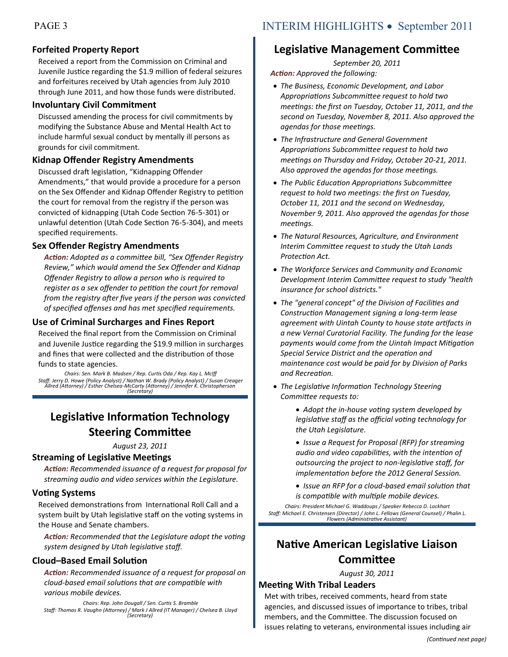#### **Forfeited Property Report**

Received a report from the Commission on Criminal and Juvenile Justice regarding the \$1.9 million of federal seizures and forfeitures received by Utah agencies from July 2010 through June 2011, and how those funds were distributed.

#### **Involuntary Civil Commitment**

Discussed amending the process for civil commitments by modifying the Substance Abuse and Mental Health Act to include harmful sexual conduct by mentally ill persons as grounds for civil commitment.

#### **Kidnap Offender Registry Amendments**

Discussed draft legislation, "Kidnapping Offender Amendments," that would provide a procedure for a person on the Sex Offender and Kidnap Offender Registry to petition the court for removal from the registry if the person was convicted of kidnapping (Utah Code Section 76-5-301) or unlawful detention (Utah Code Section 76-5-304), and meets specified requirements.

#### **Sex Offender Registry Amendments**

*Action: Adopted as a committee bill, "Sex Offender Registry Review," which would amend the Sex Offender and Kidnap Offender Registry to allow a person who is required to register as a sex offender to petition the court for removal from the registry after five years if the person was convicted of specified offenses and has met specified requirements.*

#### **Use of Criminal Surcharges and Fines Report**

Received the final report from the Commission on Criminal and Juvenile Justice regarding the \$19.9 million in surcharges and fines that were collected and the distribution of those funds to state agencies.

*Chairs: Sen. Mark B. Madsen / Rep. Curtis Oda / Rep. Kay L. McIff Staff: Jerry D. Howe (Policy Analyst) / Nathan W. Brady (Policy Analyst) / Susan Creager Allred (Attorney) / Esther Chelsea-McCarty (Attorney) / Jennifer K. Christopherson (Secretary)*

### **Legislative Information Technology Steering Committee**

*August 23, 2011*

#### **Streaming of Legislative Meetings**

*Action: Recommended issuance of a request for proposal for streaming audio and video services within the Legislature.*

#### **Voting Systems**

Received demonstrations from International Roll Call and a system built by Utah legislative staff on the voting systems in the House and Senate chambers.

*Action: Recommended that the Legislature adopt the voting system designed by Utah legislative staff.*

#### **Cloud–Based Email Solution**

*Action: Recommended issuance of a request for proposal on cloud-based email solutions that are compatible with various mobile devices.*

*Chairs: Rep. John Dougall / Sen. Curtis S. Bramble Staff: Thomas R. Vaughn (Attorney) / Mark J Allred (IT Manager) / Chelsea B. Lloyd (Secretary)*

### **Legislative Management Committee**

*September 20, 2011 Action: Approved the following:*

- *The Business, Economic Development, and Labor Appropriations Subcommittee request to hold two meetings: the first on Tuesday, October 11, 2011, and the second on Tuesday, November 8, 2011. Also approved the agendas for those meetings.*
- *The Infrastructure and General Government Appropriations Subcommittee request to hold two meetings on Thursday and Friday, October 20-21, 2011. Also approved the agendas for those meetings.*
- *The Public Education Appropriations Subcommittee request to hold two meetings: the first on Tuesday, October 11, 2011 and the second on Wednesday, November 9, 2011. Also approved the agendas for those meetings.*
- *The Natural Resources, Agriculture, and Environment Interim Committee request to study the Utah Lands Protection Act.*
- *The Workforce Services and Community and Economic Development Interim Committee request to study "health insurance for school districts."*
- *The "general concept" of the Division of Facilities and Construction Management signing a long-term lease agreement with Uintah County to house state artifacts in a new Vernal Curatorial Facility. The funding for the lease payments would come from the Uintah Impact Mitigation Special Service District and the operation and maintenance cost would be paid for by Division of Parks and Recreation.*
- *The Legislative Information Technology Steering Committee requests to:*

 *Adopt the in-house voting system developed by legislative staff as the official voting technology for the Utah Legislature.*

- *Issue a Request for Proposal (RFP) for streaming audio and video capabilities, with the intention of outsourcing the project to non-legislative staff, for implementation before the 2012 General Session.*
- *Issue an RFP for a cloud-based email solution that is compatible with multiple mobile devices.*

*Chairs: President Michael G. Waddoups / Speaker Rebecca D. Lockhart Staff: Michael E. Christensen (Director) / John L. Fellows (General Counsel) / Phalin L. Flowers (Administrative Assistant)*

### **Native American Legislative Liaison Committee**

*August 30, 2011*

#### **Meeting With Tribal Leaders**

Met with tribes, received comments, heard from state agencies, and discussed issues of importance to tribes, tribal members, and the Committee. The discussion focused on issues relating to veterans, environmental issues including air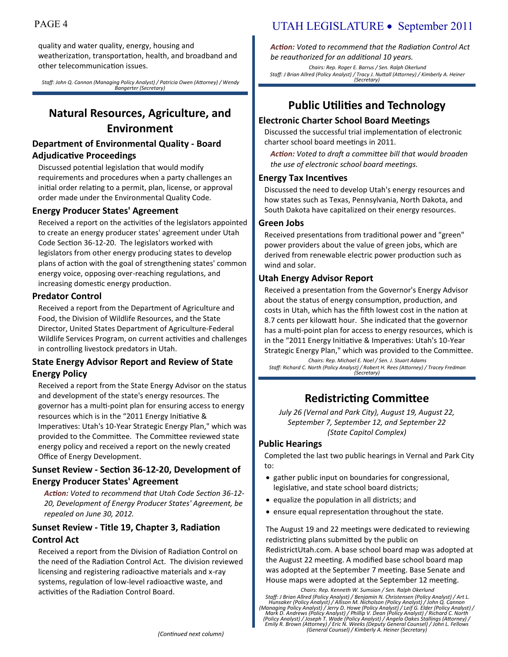quality and water quality, energy, housing and weatherization, transportation, health, and broadband and other telecommunication issues.

*Staff: John Q. Cannon (Managing Policy Analyst) / Patricia Owen (Attorney) / Wendy Bangerter (Secretary)*

### **Natural Resources, Agriculture, and Environment**

#### **Department of Environmental Quality - Board Adjudicative Proceedings**

Discussed potential legislation that would modify requirements and procedures when a party challenges an initial order relating to a permit, plan, license, or approval order made under the Environmental Quality Code.

#### **Energy Producer States' Agreement**

Received a report on the activities of the legislators appointed to create an energy producer states' agreement under Utah Code Section 36-12-20. The legislators worked with legislators from other energy producing states to develop plans of action with the goal of strengthening states' common energy voice, opposing over-reaching regulations, and increasing domestic energy production.

#### **Predator Control**

Received a report from the Department of Agriculture and Food, the Division of Wildlife Resources, and the State Director, United States Department of Agriculture-Federal Wildlife Services Program, on current activities and challenges in controlling livestock predators in Utah.

#### **State Energy Advisor Report and Review of State Energy Policy**

Received a report from the State Energy Advisor on the status and development of the state's energy resources. The governor has a multi-point plan for ensuring access to energy resources which is in the "2011 Energy Initiative & Imperatives: Utah's 10-Year Strategic Energy Plan," which was provided to the Committee. The Committee reviewed state energy policy and received a report on the newly created Office of Energy Development.

#### **Sunset Review - Section 36-12-20, Development of Energy Producer States' Agreement**

*Action: Voted to recommend that Utah Code Section 36-12- 20, Development of Energy Producer States' Agreement, be repealed on June 30, 2012.*

#### **Sunset Review - Title 19, Chapter 3, Radiation Control Act**

Received a report from the Division of Radiation Control on the need of the Radiation Control Act. The division reviewed licensing and registering radioactive materials and x-ray systems, regulation of low-level radioactive waste, and activities of the Radiation Control Board.

### PAGE 4 UTAH LEGISLATURE • September 2011

*Action: Voted to recommend that the Radiation Control Act be reauthorized for an additional 10 years.*

*Chairs: Rep. Roger E. Barrus / Sen. Ralph Okerlund Staff: J Brian Allred (Policy Analyst) / Tracy J. Nuttall (Attorney) / Kimberly A. Heiner (Secretary)*

### **Public Utilities and Technology**

#### **Electronic Charter School Board Meetings**

Discussed the successful trial implementation of electronic charter school board meetings in 2011.

*Action: Voted to draft a committee bill that would broaden the use of electronic school board meetings.*

#### **Energy Tax Incentives**

Discussed the need to develop Utah's energy resources and how states such as Texas, Pennsylvania, North Dakota, and South Dakota have capitalized on their energy resources.

#### **Green Jobs**

Received presentations from traditional power and "green" power providers about the value of green jobs, which are derived from renewable electric power production such as wind and solar.

#### **Utah Energy Advisor Report**

Received a presentation from the Governor's Energy Advisor about the status of energy consumption, production, and costs in Utah, which has the fifth lowest cost in the nation at 8.7 cents per kilowatt hour. She indicated that the governor has a multi-point plan for access to energy resources, which is in the "2011 Energy Initiative & Imperatives: Utah's 10-Year Strategic Energy Plan," which was provided to the Committee.

*Chairs: Rep. Michael E. Noel / Sen. J. Stuart Adams Staff: Richard C. North (Policy Analyst) / Robert H. Rees (Attorney) / Tracey Fredman (Secretary)*

### **Redistricting Committee**

*July 26 (Vernal and Park City), August 19, August 22, September 7, September 12, and September 22 (State Capitol Complex)*

#### **Public Hearings**

Completed the last two public hearings in Vernal and Park City to:

- gather public input on boundaries for congressional, legislative, and state school board districts;
- equalize the population in all districts; and
- ensure equal representation throughout the state.

The August 19 and 22 meetings were dedicated to reviewing redistricting plans submitted by the public on RedistrictUtah.com. A base school board map was adopted at the August 22 meeting. A modified base school board map was adopted at the September 7 meeting. Base Senate and House maps were adopted at the September 12 meeting.

*Chairs: Rep. Kenneth W. Sumsion / Sen. Ralph Okerlund*

Staff: J Brian Allred (Policy Analyst) / Benjamin N. Christensen (Policy Analyst) / Art L.<br>Hunsaker (Policy Analyst) / Allison M. Nicholson (Policy Analyst) / John Q. Cannon<br>(Managing Policy Analyst) / Ierry D. Howe (Polic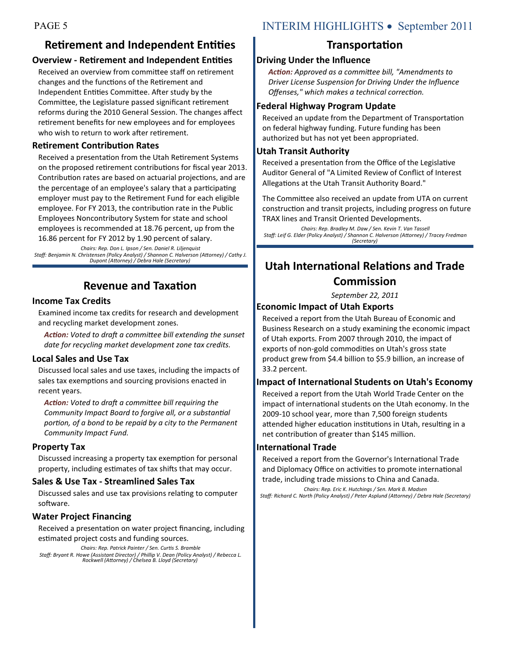### **Retirement and Independent Entities**

#### **Overview - Retirement and Independent Entities**

Received an overview from committee staff on retirement changes and the functions of the Retirement and Independent Entities Committee. After study by the Committee, the Legislature passed significant retirement reforms during the 2010 General Session. The changes affect retirement benefits for new employees and for employees who wish to return to work after retirement.

#### **Retirement Contribution Rates**

Received a presentation from the Utah Retirement Systems on the proposed retirement contributions for fiscal year 2013. Contribution rates are based on actuarial projections, and are the percentage of an employee's salary that a participating employer must pay to the Retirement Fund for each eligible employee. For FY 2013, the contribution rate in the Public Employees Noncontributory System for state and school employees is recommended at 18.76 percent, up from the 16.86 percent for FY 2012 by 1.90 percent of salary.

*Chairs: Rep. Don L. Ipson / Sen. Daniel R. Liljenquist Staff: Benjamin N. Christensen (Policy Analyst) / Shannon C. Halverson (Attorney) / Cathy J. Dupont (Attorney) / Debra Hale (Secretary)*

### **Revenue and Taxation**

#### **Income Tax Credits**

Examined income tax credits for research and development and recycling market development zones.

*Action: Voted to draft a committee bill extending the sunset date for recycling market development zone tax credits.*

#### **Local Sales and Use Tax**

Discussed local sales and use taxes, including the impacts of sales tax exemptions and sourcing provisions enacted in recent years.

*Action: Voted to draft a committee bill requiring the Community Impact Board to forgive all, or a substantial portion, of a bond to be repaid by a city to the Permanent Community Impact Fund.*

#### **Property Tax**

Discussed increasing a property tax exemption for personal property, including estimates of tax shifts that may occur.

#### **Sales & Use Tax - Streamlined Sales Tax**

Discussed sales and use tax provisions relating to computer software.

#### **Water Project Financing**

Received a presentation on water project financing, including estimated project costs and funding sources.

*Chairs: Rep. Patrick Painter / Sen. Curtis S. Bramble Staff: Bryant R. Howe (Assistant Director) / Phillip V. Dean (Policy Analyst) / Rebecca L. Rockwell (Attorney) / Chelsea B. Lloyd (Secretary)*

### PAGE 5 INTERIM HIGHLIGHTS • September 2011

### **Transportation**

#### **Driving Under the Influence**

*Action: Approved as a committee bill, "Amendments to Driver License Suspension for Driving Under the Influence Offenses," which makes a technical correction.*

#### **Federal Highway Program Update**

Received an update from the Department of Transportation on federal highway funding. Future funding has been authorized but has not yet been appropriated.

#### **Utah Transit Authority**

Received a presentation from the Office of the Legislative Auditor General of "A Limited Review of Conflict of Interest Allegations at the Utah Transit Authority Board."

The Committee also received an update from UTA on current construction and transit projects, including progress on future TRAX lines and Transit Oriented Developments.

*Chairs: Rep. Bradley M. Daw / Sen. Kevin T. Van Tassell Staff: Leif G. Elder (Policy Analyst) / Shannon C. Halverson (Attorney) / Tracey Fredman (Secretary)*

## **Utah International Relations and Trade Commission**

*September 22, 2011*

#### **Economic Impact of Utah Exports**

Received a report from the Utah Bureau of Economic and Business Research on a study examining the economic impact of Utah exports. From 2007 through 2010, the impact of exports of non-gold commodities on Utah's gross state product grew from \$4.4 billion to \$5.9 billion, an increase of 33.2 percent.

#### **Impact of International Students on Utah's Economy**

Received a report from the Utah World Trade Center on the impact of international students on the Utah economy. In the 2009-10 school year, more than 7,500 foreign students attended higher education institutions in Utah, resulting in a net contribution of greater than \$145 million.

#### **International Trade**

Received a report from the Governor's International Trade and Diplomacy Office on activities to promote international trade, including trade missions to China and Canada.

*Chairs: Rep. Eric K. Hutchings / Sen. Mark B. Madsen Staff: Richard C. North (Policy Analyst) / Peter Asplund (Attorney) / Debra Hale (Secretary)*